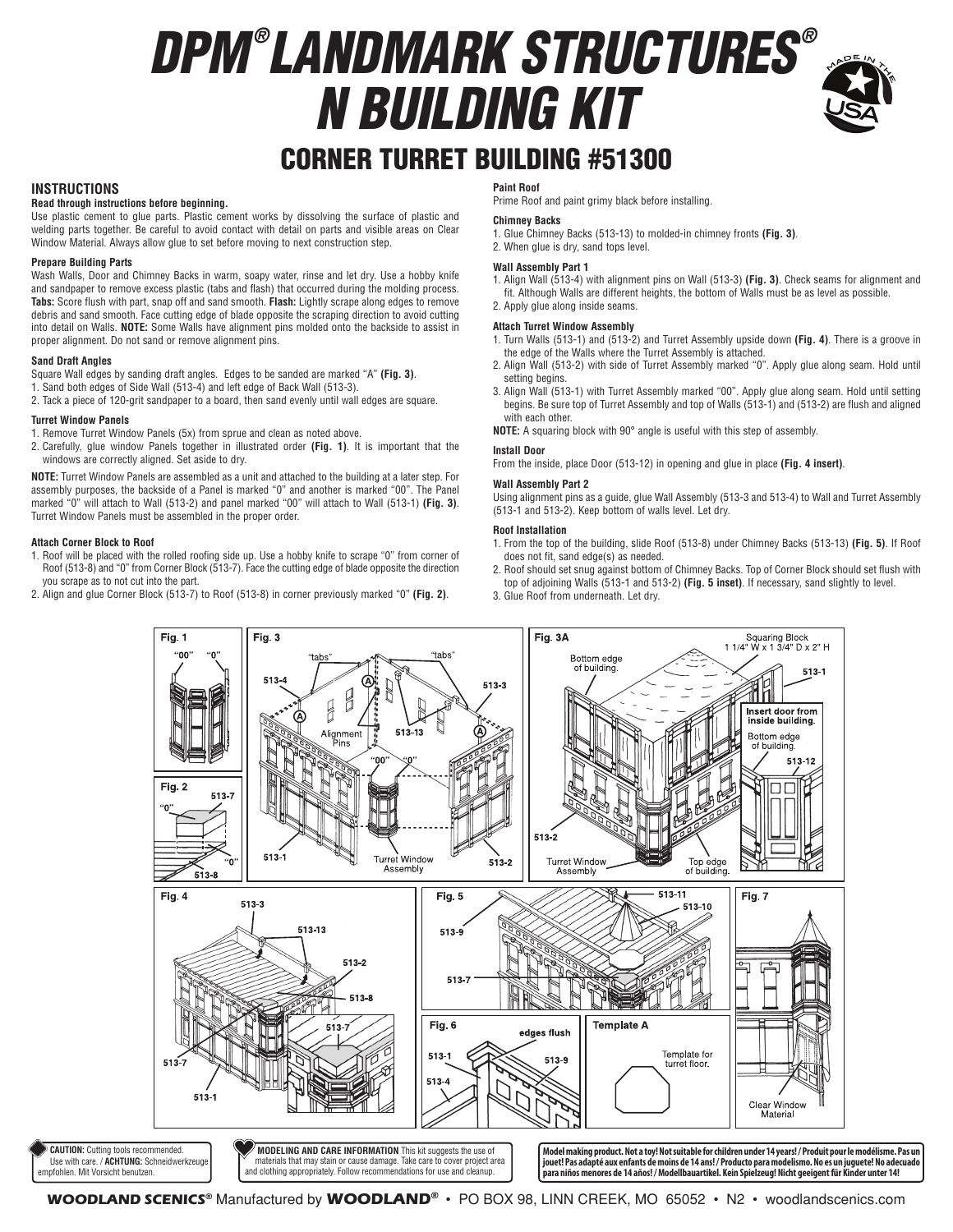# *DPM ® LANDMARK STRUCTURES ® N BUILDING KIT*



## CORNER TURRET BUILDING #51300

#### **INSTRUCTIONS**

### **Read through instructions before beginning.**

Use plastic cement to glue parts. Plastic cement works by dissolving the surface of plastic and welding parts together. Be careful to avoid contact with detail on parts and visible areas on Clear Window Material. Always allow glue to set before moving to next construction step.

#### **Prepare Building Parts**

Wash Walls, Door and Chimney Backs in warm, soapy water, rinse and let dry. Use a hobby knife and sandpaper to remove excess plastic (tabs and flash) that occurred during the molding process. **Tabs:** Score flush with part, snap off and sand smooth. **Flash:** Lightly scrape along edges to remove debris and sand smooth. Face cutting edge of blade opposite the scraping direction to avoid cutting into detail on Walls. **NOTE:** Some Walls have alignment pins molded onto the backside to assist in proper alignment. Do not sand or remove alignment pins.

#### **Sand Draft Angles**

Square Wall edges by sanding draft angles. Edges to be sanded are marked "A" **(Fig. 3)**.

- 1. Sand both edges of Side Wall (513-4) and left edge of Back Wall (513-3).
- 2. Tack a piece of 120-grit sandpaper to a board, then sand evenly until wall edges are square.

#### **Turret Window Panels**

- 1. Remove Turret Window Panels (5x) from sprue and clean as noted above.
- 2. Carefully, glue window Panels together in illustrated order **(Fig. 1)**. It is important that the windows are correctly aligned. Set aside to dry.

**NOTE:** Turret Window Panels are assembled as a unit and attached to the building at a later step. For assembly purposes, the backside of a Panel is marked "0" and another is marked "00". The Panel marked "0" will attach to Wall (513-2) and panel marked "00" will attach to Wall (513-1) **(Fig. 3)**. Turret Window Panels must be assembled in the proper order.

#### **Attach Corner Block to Roof**

- 1. Roof will be placed with the rolled roofing side up. Use a hobby knife to scrape "0" from corner of Roof (513-8) and "0" from Corner Block (513-7). Face the cutting edge of blade opposite the direction you scrape as to not cut into the part.
- 2. Align and glue Corner Block (513-7) to Roof (513-8) in corner previously marked "0" **(Fig. 2)**.

#### **Paint Roof**

Prime Roof and paint grimy black before installing.

#### **Chimney Backs**

- 1. Glue Chimney Backs (513-13) to molded-in chimney fronts **(Fig. 3)**. 2. When glue is dry, sand tops level.
- **Wall Assembly Part 1**
- 1. Align Wall (513-4) with alignment pins on Wall (513-3) **(Fig. 3)**. Check seams for alignment and fit. Although Walls are different heights, the bottom of Walls must be as level as possible.
- 2. Apply glue along inside seams.

#### **Attach Turret Window Assembly**

- 1. Turn Walls (513-1) and (513-2) and Turret Assembly upside down **(Fig. 4)**. There is a groove in the edge of the Walls where the Turret Assembly is attached.
- 2. Align Wall (513-2) with side of Turret Assembly marked "0". Apply glue along seam. Hold until setting begins.
- 3. Align Wall (513-1) with Turret Assembly marked "00". Apply glue along seam. Hold until setting begins. Be sure top of Turret Assembly and top of Walls (513-1) and (513-2) are flush and aligned with each other.

**NOTE:** A squaring block with 90° angle is useful with this step of assembly.

#### **Install Door**

From the inside, place Door (513-12) in opening and glue in place **(Fig. 4 insert)**.

#### **Wall Assembly Part 2**

Using alignment pins as a guide, glue Wall Assembly (513-3 and 513-4) to Wall and Turret Assembly (513-1 and 513-2). Keep bottom of walls level. Let dry.

#### **Roof Installation**

- 1. From the top of the building, slide Roof (513-8) under Chimney Backs (513-13) **(Fig. 5)**. If Roof does not fit, sand edge(s) as needed.
- 2. Roof should set snug against bottom of Chimney Backs. Top of Corner Block should set flush with top of adjoining Walls (513-1 and 513-2) **(Fig. 5 inset)**. If necessary, sand slightly to level.
- 3. Glue Roof from underneath. Let dry.



**WOODLAND SCENICS®** Manufactured by **WOODLAND®** • PO BOX 98, LINN CREEK, MO 65052 • N2 • woodlandscenics.com